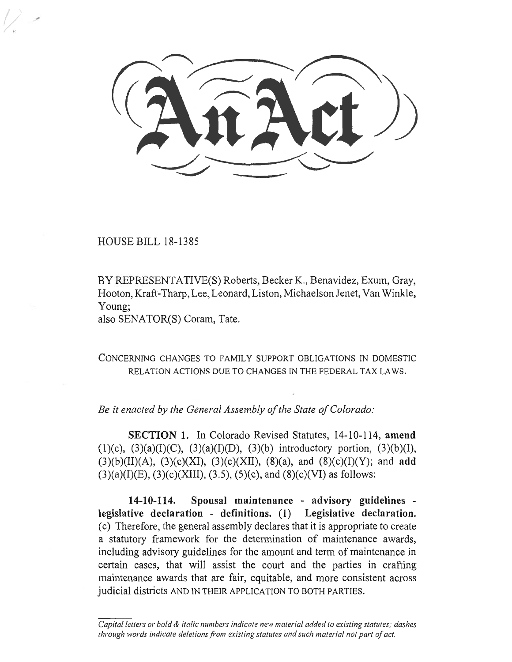HOUSE BILL 18-1385

BY REPRESENTATIVE(S) Roberts, Becker K., Benavidez, Exum, Gray, Hooton, Kraft-Tharp, Lee, Leonard, Liston, Michaelson Jenet, Van Winkle, Young;

also SENATOR(S) Coram, Tate.

CONCERNING CHANGES TO FAMILY SUPPORT OBLIGATIONS IN DOMESTIC RELATION ACTIONS DUE TO CHANGES IN THE FEDERAL TAX LAWS.

*Be it enacted by the General Assembly of the State of Colorado:* 

**SECTION 1.** In Colorado Revised Statutes, 14-10-114, **amend**  (1)(c), (3)(a)(I)(C), (3)(a)(I)(D), (3)(b) introductory portion, (3)(b)(I), (3)(b)(II)(A), (3)(c)(XI), (3)(c)(XII), (8)(a), and (8)(c)(I)(Y); and **add**   $(3)(a)(I)(E)$ ,  $(3)(c)(XIII)$ ,  $(3.5)$ ,  $(5)(c)$ , and  $(8)(c)(VI)$  as follows:

**14-10-114. Spousal maintenance - advisory guidelines legislative declaration - definitions.** (1) **Legislative declaration.**  (c) Therefore, the general assembly declares that it is appropriate to create a statutory framework for the determination of maintenance awards, including advisory guidelines for the amount and term of maintenance in certain cases, that will assist the court and the parties in crafting maintenance awards that are fair, equitable, and more consistent across judicial districts AND IN THEIR APPLICATION TO BOTH PARTIES.

*Capital letters or bold & italic numbers indicate new material added to existing statutes; dashes through words indicate deletions from existing statutes and such material not part of act.*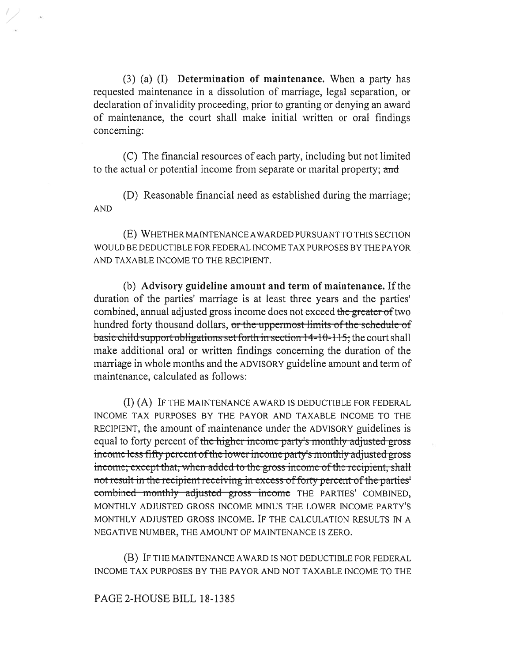(3) (a) (I) **Determination of maintenance.** When a party has requested maintenance in a dissolution of marriage, legal separation, or declaration of invalidity proceeding, prior to granting or denying an award of maintenance, the court shall make initial written or oral findings concerning:

(C) The financial resources of each party, including but not limited to the actual or potential income from separate or marital property; and

(D) Reasonable financial need as established during the marriage; AND

(E) WHETHER MAINTENANCE AWARDED PURSUANT TO THIS SECTION WOULD BE DEDUCTIBLE FOR FEDERAL INCOME TAX PURPOSES BY THE PAYOR AND TAXABLE INCOME TO THE RECIPIENT.

(b) **Advisory guideline amount and term of maintenance.** If the duration of the parties' marriage is at least three years and the parties' combined, annual adjusted gross income does not exceed the greater of two hundred forty thousand dollars, or the uppermost limits of the schedule of basic child support obligations set forth in section 14-10-115, the court shall make additional oral or written findings concerning the duration of the marriage in whole months and the ADVISORY guideline amount and term of maintenance, calculated as follows:

(I) (A) IF THE MAINTENANCE AWARD IS DEDUCTIBLE FOR FEDERAL INCOME TAX PURPOSES BY THE PAYOR AND TAXABLE INCOME TO THE RECIPIENT, the amount of maintenance under the ADVISORY guidelines is equal to forty percent of the higher income party's monthly adjusted gross income less fifty percent of the lower income party's monthly adjusted gross income; except that, when added to the gross income of the recipient, shall not result in the recipient receiving in excess of forty percent of the parties' combined monthly adjusted gross income THE PARTIES' COMBINED, MONTHLY ADJUSTED GROSS INCOME MINUS THE LOWER INCOME PARTY'S MONTHLY ADJUSTED GROSS INCOME. IF THE CALCULATION RESULTS IN A NEGATIVE NUMBER, THE AMOUNT OF MAINTENANCE IS ZERO.

(B) IF THE MAINTENANCE AWARD IS NOT DEDUCTIBLE FOR FEDERAL INCOME TAX PURPOSES BY THE PAYOR AND NOT TAXABLE INCOME TO THE

## **PAGE** 2-HOUSE BILL 18-1385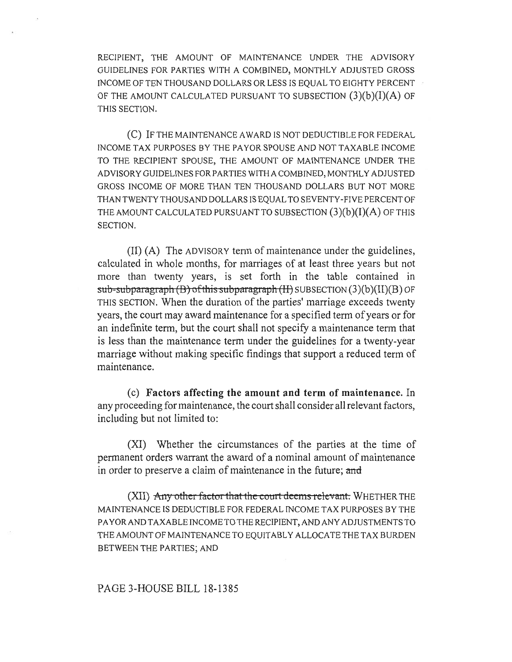RECIPIENT, THE AMOUNT OF MAINTENANCE UNDER THE ADVISORY GUIDELINES FOR PARTIES WITH A COMBINED, MONTHLY ADJUSTED GROSS INCOME OF TEN THOUSAND DOLLARS OR LESS IS EQUAL TO EIGHTY PERCENT OF THE AMOUNT CALCULATED PURSUANT TO SUBSECTION  $(3)(b)(I)(A)$  OF THIS SECTION.

(C) IF THE MAINTENANCE AWARD IS NOT DEDUCTIBLE FOR FEDERAL INCOME TAX PURPOSES BY THE PAYOR SPOUSE AND NOT TAXABLE INCOME TO THE RECIPIENT SPOUSE, THE AMOUNT OF MAINTENANCE UNDER THE ADVISORY GUIDELINES FOR PARTIES WITH A COMBINED, MONTHLY ADJUSTED GROSS INCOME OF MORE THAN TEN THOUSAND DOLLARS BUT NOT MORE THAN TWENTY THOUSAND DOLLARS IS EQUAL TO SEVENTY-FIVE PERCENT OF THE AMOUNT CALCULATED PURSUANT TO SUBSECTION  $(3)(b)(I)(A)$  OF THIS SECTION.

(II) (A) The ADVISORY term of maintenance under the guidelines, calculated in whole months, for marriages of at least three years but not more than twenty years, is set forth in the table contained in  $sub-sub$ -subparagraph  $(B)$  of this subparagraph  $(H)$  SUBSECTION  $(3)(b)(II)(B)$  OF THIS SECTION. When the duration of the parties' marriage exceeds twenty years, the court may award maintenance for a specified term of years or for an indefinite term, but the court shall not specify a maintenance term that is less than the maintenance term under the guidelines for a twenty-year marriage without making specific findings that support a reduced term of maintenance.

(c) **Factors affecting the amount and term of maintenance.** In any proceeding for maintenance, the court shall consider all relevant factors, including but not limited to:

(XI) Whether the circumstances of the parties at the time of permanent orders warrant the award of a nominal amount of maintenance in order to preserve a claim of maintenance in the future; and

(XII) Any other factor that the court deems relevant. WHETHER THE MAINTENANCE IS DEDUCTIBLE FOR FEDERAL INCOME TAX PURPOSES BY THE PAYOR AND TAXABLE INCOME TO THE RECIPIENT, AND ANY ADJUSTMENTS TO THE AMOUNT OF MAINTENANCE TO EQUITABLY ALLOCATE THE TAX BURDEN BETWEEN THE PARTIES; AND

## PAGE 3-HOUSE BILL 18-1385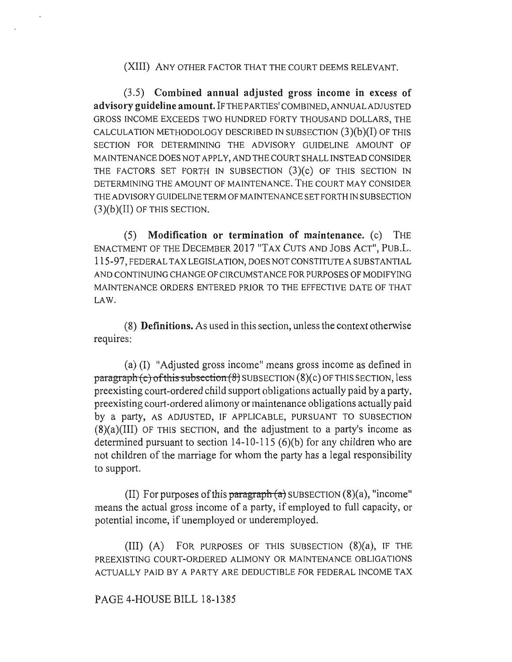(XIII) ANY OTHER FACTOR THAT THE COURT DEEMS RELEVANT.

**(3.5) Combined annual adjusted gross income in excess of advisory guideline amount.** IF THE PARTIES' COMBINED, ANNUAL ADJUSTED GROSS INCOME EXCEEDS TWO HUNDRED FORTY THOUSAND DOLLARS, THE CALCULATION METHODOLOGY DESCRIBED IN SUBSECTION **(3)(b)(I)** OF THIS SECTION FOR DETERMINING THE ADVISORY GUIDELINE AMOUNT OF MAINTENANCE DOES NOT APPLY, AND THE COURT SHALL INSTEAD CONSIDER THE FACTORS SET FORTH IN SUBSECTION **(3)(c)** OF THIS SECTION IN DETERMINING THE AMOUNT OF MAINTENANCE. THE COURT MAY CONSIDER THE ADVISORY GUIDELINE TERM OF MAINTENANCE SET FORTH IN SUBSECTION **(3)(b)(II)** OF THIS SECTION.

**(5) Modification or termination of maintenance.** (c) THE ENACTMENT OF THE DECEMBER 2017 "TAX CUTS AND JOBS ACT", PUB.L. 115-97, FEDERAL TAX LEGISLATION, DOES NOT CONSTITUTE A SUBSTANTIAL AND CONTINUING CHANGE OF CIRCUMSTANCE FOR PURPOSES OF MODIFYING MAINTENANCE ORDERS ENTERED PRIOR TO THE EFFECTIVE DATE OF THAT LAW.

**(8) Definitions.** As used in this section, unless the context otherwise requires:

(a) (I) "Adjusted gross income" means gross income as defined in  $\frac{\text{pargraph}}{\text{c}}$  of this subsection (8) SUBSECTION (8)(c) OF THIS SECTION, less preexisting court-ordered child support obligations actually paid by a party, preexisting court-ordered alimony or maintenance obligations actually paid by a party, AS ADJUSTED, IF APPLICABLE, PURSUANT TO SUBSECTION  $(8)(a)(III)$  OF THIS SECTION, and the adjustment to a party's income as determined pursuant to section 14-10-115 (6)(b) for any children who are not children of the marriage for whom the party has a legal responsibility to support.

(II) For purposes of this paragraph  $(a)$  SUBSECTION  $(8)(a)$ , "income" means the actual gross income of a party, if employed to full capacity, or potential income, if unemployed or underemployed.

(III) (A) FOR PURPOSES OF THIS SUBSECTION (8)(a), IF THE PREEXISTING COURT-ORDERED ALIMONY OR MAINTENANCE OBLIGATIONS ACTUALLY PAID BY A PARTY ARE DEDUCTIBLE FOR FEDERAL INCOME TAX

## PAGE 4-HOUSE BILL 18-1385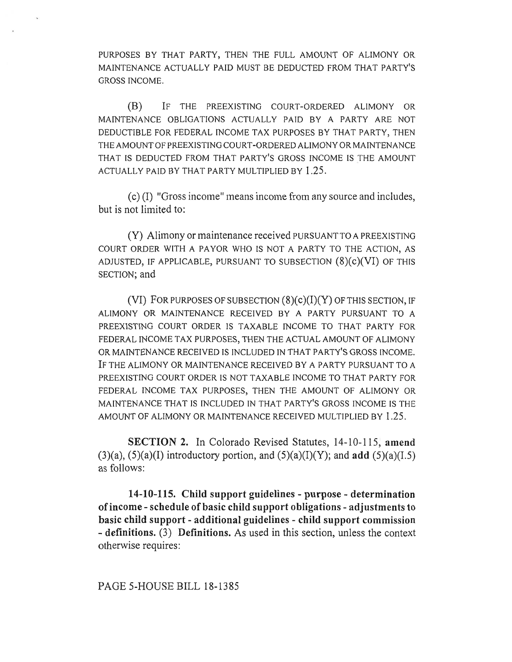PURPOSES BY THAT PARTY, THEN THE FULL AMOUNT OF ALIMONY OR MAINTENANCE ACTUALLY PAID MUST BE DEDUCTED FROM THAT PARTY'S GROSS INCOME.

(B) IF THE PREEXISTING COURT-ORDERED ALIMONY OR MAINTENANCE OBLIGATIONS ACTUALLY PAID BY A PARTY ARE NOT DEDUCTIBLE FOR FEDERAL INCOME TAX PURPOSES BY THAT PARTY, THEN THE AMOUNT OF PREEXISTING COURT-ORDERED ALIMONY OR MAINTENANCE THAT IS DEDUCTED FROM THAT PARTY'S GROSS INCOME IS THE AMOUNT ACTUALLY PAID BY THAT PARTY MULTIPLIED BY 1.25.

(c) (I) "Gross income" means income from any source and includes, but is not limited to:

(Y) Alimony or maintenance received PURSUANT TO A PREEXISTING COURT ORDER WITH A PAYOR WHO IS NOT A PARTY TO THE ACTION, AS ADJUSTED, IF APPLICABLE, PURSUANT TO SUBSECTION  $(8)(c)(VI)$  OF THIS SECTION; and

(VI) FOR PURPOSES OF SUBSECTION  $(8)(c)(I)(Y)$  OF THIS SECTION, IF ALIMONY OR MAINTENANCE RECEIVED BY A PARTY PURSUANT TO A PREEXISTING COURT ORDER IS TAXABLE INCOME TO THAT PARTY FOR FEDERAL INCOME TAX PURPOSES, THEN THE ACTUAL AMOUNT OF ALIMONY OR MAINTENANCE RECEIVED IS INCLUDED IN THAT PARTY'S GROSS INCOME. IF THE ALIMONY OR MAINTENANCE RECEIVED BY A PARTY PURSUANT TO A PREEXISTING COURT ORDER IS NOT TAXABLE INCOME TO THAT PARTY FOR FEDERAL INCOME TAX PURPOSES, THEN THE AMOUNT OF ALIMONY OR MAINTENANCE THAT IS INCLUDED IN THAT PARTY'S GROSS INCOME IS THE AMOUNT OF ALIMONY OR MAINTENANCE RECEIVED MULTIPLIED BY 1.25.

**SECTION 2.** In Colorado Revised Statutes, 14-10-115, **amend**  (3)(a), (5)(a)(I) introductory portion, and (5)(a)(I)(Y); and **add** (5)(a)(I.5) as follows:

**14-10-115. Child support guidelines - purpose - determination of income - schedule of basic child support obligations - adjustments to basic child support - additional guidelines - child support commission - definitions.** (3) **Definitions.** As used in this section, unless the context otherwise requires:

PAGE 5-HOUSE BILL 18-1385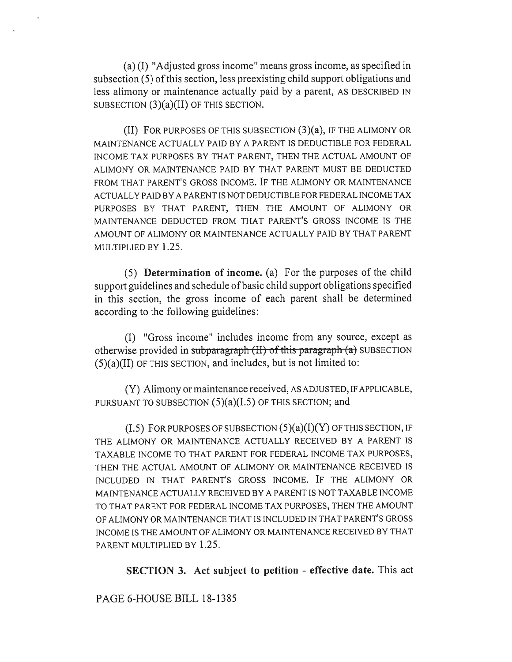(a) (I) "Adjusted gross income" means gross income, as specified in subsection (5) of this section, less preexisting child support obligations and less alimony or maintenance actually paid by a parent, AS DESCRIBED IN SUBSECTION (3)(a)(II) OF THIS SECTION.

(II) FOR PURPOSES OF THIS SUBSECTION (3)(a), IF THE ALIMONY OR MAINTENANCE ACTUALLY PAID BY A PARENT IS DEDUCTIBLE FOR FEDERAL INCOME TAX PURPOSES BY THAT PARENT, THEN THE ACTUAL AMOUNT OF ALIMONY OR MAINTENANCE PAID BY THAT PARENT MUST BE DEDUCTED FROM THAT PARENT'S GROSS INCOME. IF THE ALIMONY OR MAINTENANCE ACTUALLY PAID BY A PARENT IS NOT DEDUCTIBLE FOR FEDERAL INCOME TAX PURPOSES BY THAT PARENT, THEN THE AMOUNT OF ALIMONY OR MAINTENANCE DEDUCTED FROM THAT PARENT'S GROSS INCOME IS THE AMOUNT OF ALIMONY OR MAINTENANCE ACTUALLY PAID BY THAT PARENT MULTIPLIED BY 1.25.

(5) **Determination of income.** (a) For the purposes of the child support guidelines and schedule of basic child support obligations specified in this section, the gross income of each parent shall be determined according to the following guidelines:

(I) "Gross income" includes income from any source, except as otherwise provided in subparagraph  $(H)$  of this paragraph  $(a)$  SUBSECTION  $(5)(a)(II)$  OF THIS SECTION, and includes, but is not limited to:

(Y) Alimony or maintenance received, AS ADJUSTED, IF APPLICABLE, PURSUANT TO SUBSECTION  $(5)(a)(I.5)$  OF THIS SECTION; and

 $(1.5)$  FOR PURPOSES OF SUBSECTION  $(5)(a)(I)(Y)$  OF THIS SECTION, IF THE ALIMONY OR MAINTENANCE ACTUALLY RECEIVED BY A PARENT IS TAXABLE INCOME TO THAT PARENT FOR FEDERAL INCOME TAX PURPOSES, THEN THE ACTUAL AMOUNT OF ALIMONY OR MAINTENANCE RECEIVED IS INCLUDED IN THAT PARENT'S GROSS INCOME. IF THE ALIMONY OR MAINTENANCE ACTUALLY RECEIVED BY A PARENT IS NOT TAXABLE INCOME TO THAT PARENT FOR FEDERAL INCOME TAX PURPOSES, THEN THE AMOUNT OF ALIMONY OR MAINTENANCE THAT IS INCLUDED IN THAT PARENT'S GROSS INCOME IS THE AMOUNT OF ALIMONY OR MAINTENANCE RECEIVED BY THAT PARENT MULTIPLIED BY 1.25.

**SECTION 3. Act subject to petition - effective date.** This act

PAGE 6-HOUSE BILL 18-1385